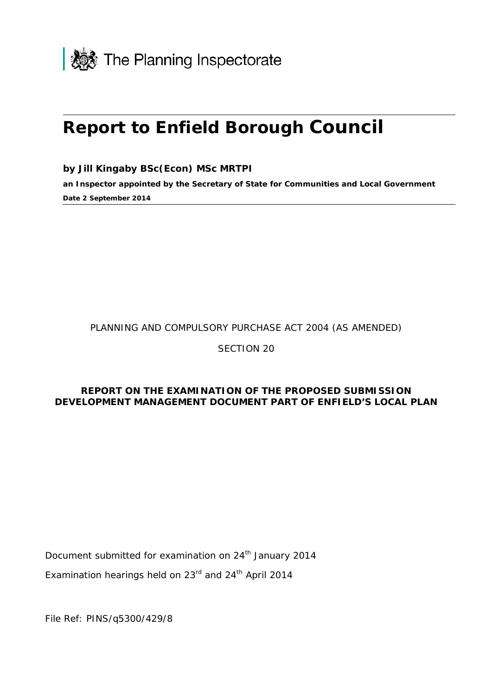

# **Report to Enfield Borough Council**

**by Jill Kingaby BSc(Econ) MSc MRTPI**

**an Inspector appointed by the Secretary of State for Communities and Local Government Date 2 September 2014**

PLANNING AND COMPULSORY PURCHASE ACT 2004 (AS AMENDED)

SECTION 20

#### **REPORT ON THE EXAMINATION OF THE PROPOSED SUBMISSION DEVELOPMENT MANAGEMENT DOCUMENT PART OF ENFIELD'S LOCAL PLAN**

Document submitted for examination on 24<sup>th</sup> January 2014

Examination hearings held on 23<sup>rd</sup> and 24<sup>th</sup> April 2014

File Ref: PINS/q5300/429/8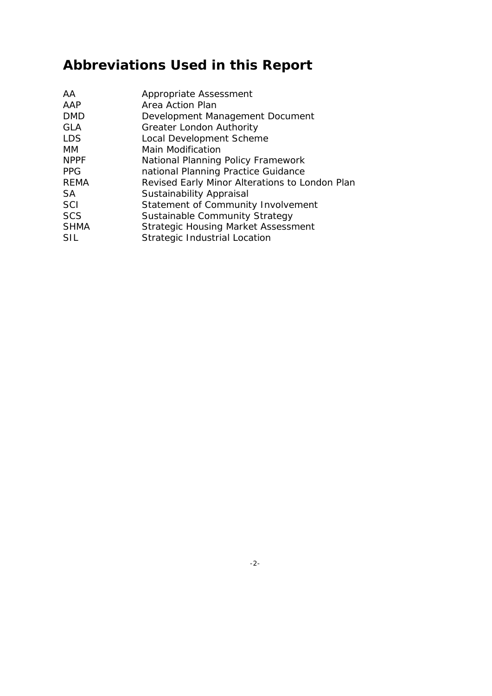## **Abbreviations Used in this Report**

| AA          | Appropriate Assessment                         |
|-------------|------------------------------------------------|
| AAP         | Area Action Plan                               |
| <b>DMD</b>  | Development Management Document                |
| <b>GLA</b>  | <b>Greater London Authority</b>                |
| <b>LDS</b>  | Local Development Scheme                       |
| МM          | <b>Main Modification</b>                       |
| <b>NPPF</b> | National Planning Policy Framework             |
| <b>PPG</b>  | national Planning Practice Guidance            |
| <b>REMA</b> | Revised Early Minor Alterations to London Plan |
| SA          | Sustainability Appraisal                       |
| SCI         | Statement of Community Involvement             |
| <b>SCS</b>  | Sustainable Community Strategy                 |
| <b>SHMA</b> | <b>Strategic Housing Market Assessment</b>     |
| SIL         | Strategic Industrial Location                  |
|             |                                                |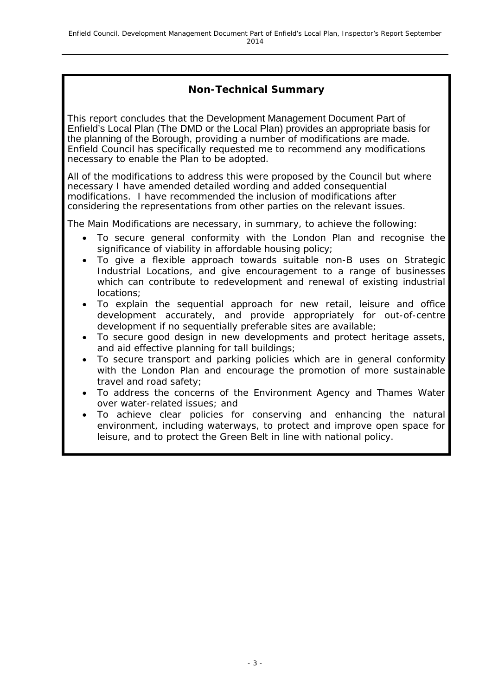#### **Non-Technical Summary**

This report concludes that the Development Management Document Part of Enfield's Local Plan (The DMD or the Local Plan) provides an appropriate basis for the planning of the Borough, providing a number of modifications are made. Enfield Council has specifically requested me to recommend any modifications necessary to enable the Plan to be adopted.

All of the modifications to address this were proposed by the Council but where necessary I have amended detailed wording and added consequential modifications. I have recommended the inclusion of modifications after considering the representations from other parties on the relevant issues.

The Main Modifications are necessary, in summary, to achieve the following:

- To secure general conformity with the London Plan and recognise the significance of viability in affordable housing policy;
- To give a flexible approach towards suitable non-B uses on Strategic Industrial Locations, and give encouragement to a range of businesses which can contribute to redevelopment and renewal of existing industrial locations;
- To explain the sequential approach for new retail, leisure and office development accurately, and provide appropriately for out-of-centre development if no sequentially preferable sites are available;
- To secure good design in new developments and protect heritage assets, and aid effective planning for tall buildings;
- To secure transport and parking policies which are in general conformity with the London Plan and encourage the promotion of more sustainable travel and road safety;
- To address the concerns of the Environment Agency and Thames Water over water-related issues; and
- To achieve clear policies for conserving and enhancing the natural environment, including waterways, to protect and improve open space for leisure, and to protect the Green Belt in line with national policy.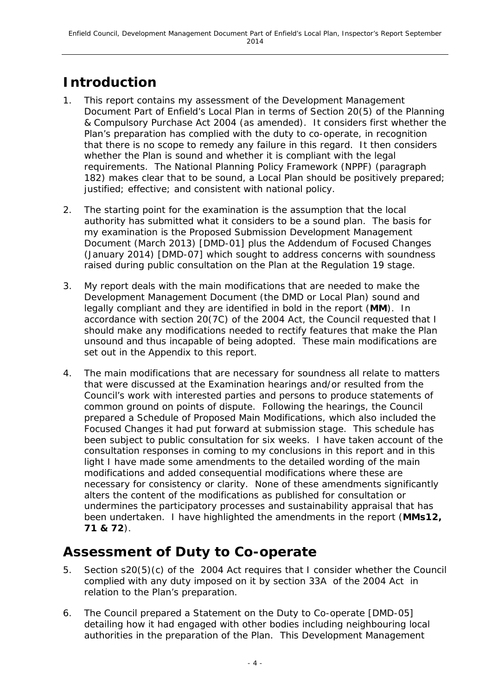## **Introduction**

- 1. This report contains my assessment of the Development Management Document Part of Enfield's Local Plan in terms of Section 20(5) of the Planning & Compulsory Purchase Act 2004 (as amended). It considers first whether the Plan's preparation has complied with the duty to co-operate, in recognition that there is no scope to remedy any failure in this regard. It then considers whether the Plan is sound and whether it is compliant with the legal requirements. The National Planning Policy Framework (NPPF) (paragraph 182) makes clear that to be sound, a Local Plan should be positively prepared; justified; effective; and consistent with national policy.
- 2. The starting point for the examination is the assumption that the local authority has submitted what it considers to be a sound plan. The basis for my examination is the Proposed Submission Development Management Document (March 2013) [DMD-01] plus the Addendum of Focused Changes (January 2014) [DMD-07] which sought to address concerns with soundness raised during public consultation on the Plan at the Regulation 19 stage.
- 3. My report deals with the main modifications that are needed to make the Development Management Document (the DMD or Local Plan) sound and legally compliant and they are identified in bold in the report (**MM**). In accordance with section 20(7C) of the 2004 Act, the Council requested that I should make any modifications needed to rectify features that make the Plan unsound and thus incapable of being adopted. These main modifications are set out in the Appendix to this report.
- 4. The main modifications that are necessary for soundness all relate to matters that were discussed at the Examination hearings and/or resulted from the Council's work with interested parties and persons to produce statements of common ground on points of dispute. Following the hearings, the Council prepared a Schedule of Proposed Main Modifications, which also included the Focused Changes it had put forward at submission stage. This schedule has been subject to public consultation for six weeks. I have taken account of the consultation responses in coming to my conclusions in this report and in this light I have made some amendments to the detailed wording of the main modifications and added consequential modifications where these are necessary for consistency or clarity. None of these amendments significantly alters the content of the modifications as published for consultation or undermines the participatory processes and sustainability appraisal that has been undertaken. I have highlighted the amendments in the report (**MMs12, 71 & 72**).

### **Assessment of Duty to Co-operate**

- 5. Section s20(5)(c) of the 2004 Act requires that I consider whether the Council complied with any duty imposed on it by section 33A of the 2004 Act in relation to the Plan's preparation.
- 6. The Council prepared a Statement on the Duty to Co-operate [DMD-05] detailing how it had engaged with other bodies including neighbouring local authorities in the preparation of the Plan. This Development Management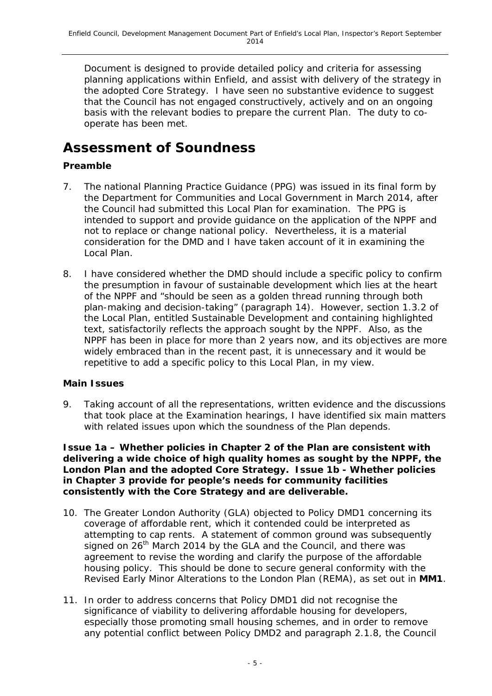Document is designed to provide detailed policy and criteria for assessing planning applications within Enfield, and assist with delivery of the strategy in the adopted Core Strategy. I have seen no substantive evidence to suggest that the Council has not engaged constructively, actively and on an ongoing basis with the relevant bodies to prepare the current Plan. The duty to cooperate has been met.

### **Assessment of Soundness**

#### **Preamble**

- 7. The national Planning Practice Guidance (PPG) was issued in its final form by the Department for Communities and Local Government in March 2014, after the Council had submitted this Local Plan for examination. The PPG is intended to support and provide guidance on the application of the NPPF and not to replace or change national policy. Nevertheless, it is a material consideration for the DMD and I have taken account of it in examining the Local Plan.
- 8. I have considered whether the DMD should include a specific policy to confirm the presumption in favour of sustainable development which lies at the heart of the NPPF and "should be seen as a golden thread running through both plan-making and decision-taking" (paragraph 14). However, section 1.3.2 of the Local Plan, entitled Sustainable Development and containing highlighted text, satisfactorily reflects the approach sought by the NPPF. Also, as the NPPF has been in place for more than 2 years now, and its objectives are more widely embraced than in the recent past, it is unnecessary and it would be repetitive to add a specific policy to this Local Plan, in my view.

#### **Main Issues**

9. Taking account of all the representations, written evidence and the discussions that took place at the Examination hearings, I have identified six main matters with related issues upon which the soundness of the Plan depends.

**Issue 1a – Whether policies in Chapter 2 of the Plan are consistent with delivering a wide choice of high quality homes as sought by the NPPF, the London Plan and the adopted Core Strategy. Issue 1b - Whether policies in Chapter 3 provide for people's needs for community facilities consistently with the Core Strategy and are deliverable.**

- 10. The Greater London Authority (GLA) objected to Policy DMD1 concerning its coverage of affordable rent, which it contended could be interpreted as attempting to cap rents. A statement of common ground was subsequently signed on  $26<sup>th</sup>$  March 2014 by the GLA and the Council, and there was agreement to revise the wording and clarify the purpose of the affordable housing policy. This should be done to secure general conformity with the Revised Early Minor Alterations to the London Plan (REMA), as set out in **MM1**.
- 11. In order to address concerns that Policy DMD1 did not recognise the significance of viability to delivering affordable housing for developers, especially those promoting small housing schemes, and in order to remove any potential conflict between Policy DMD2 and paragraph 2.1.8, the Council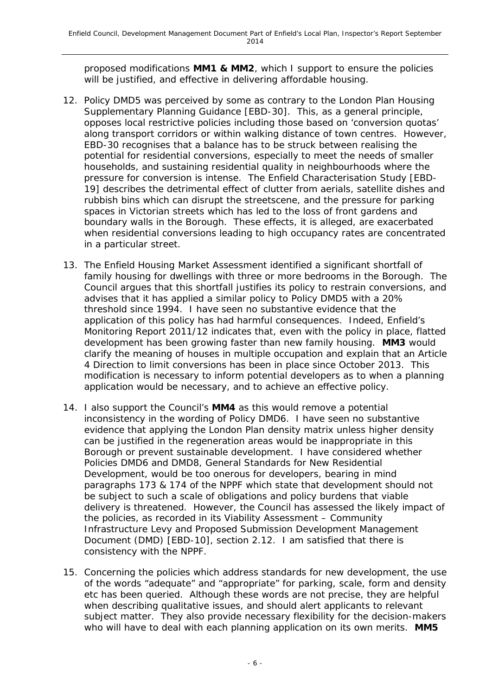proposed modifications **MM1 & MM2**, which I support to ensure the policies will be justified, and effective in delivering affordable housing.

- 12. Policy DMD5 was perceived by some as contrary to the London Plan Housing Supplementary Planning Guidance [EBD-30]. This, as a general principle, opposes local restrictive policies including those based on 'conversion quotas' along transport corridors or within walking distance of town centres. However, EBD-30 recognises that a balance has to be struck between realising the potential for residential conversions, especially to meet the needs of smaller households, and sustaining residential quality in neighbourhoods where the pressure for conversion is intense. The Enfield Characterisation Study [EBD-19] describes the detrimental effect of clutter from aerials, satellite dishes and rubbish bins which can disrupt the streetscene, and the pressure for parking spaces in Victorian streets which has led to the loss of front gardens and boundary walls in the Borough. These effects, it is alleged, are exacerbated when residential conversions leading to high occupancy rates are concentrated in a particular street.
- 13. The Enfield Housing Market Assessment identified a significant shortfall of family housing for dwellings with three or more bedrooms in the Borough. The Council argues that this shortfall justifies its policy to restrain conversions, and advises that it has applied a similar policy to Policy DMD5 with a 20% threshold since 1994. I have seen no substantive evidence that the application of this policy has had harmful consequences. Indeed, Enfield's Monitoring Report 2011/12 indicates that, even with the policy in place, flatted development has been growing faster than new family housing. **MM3** would clarify the meaning of houses in multiple occupation and explain that an Article 4 Direction to limit conversions has been in place since October 2013. This modification is necessary to inform potential developers as to when a planning application would be necessary, and to achieve an effective policy.
- 14. I also support the Council's **MM4** as this would remove a potential inconsistency in the wording of Policy DMD6. I have seen no substantive evidence that applying the London Plan density matrix unless higher density can be justified in the regeneration areas would be inappropriate in this Borough or prevent sustainable development. I have considered whether Policies DMD6 and DMD8, General Standards for New Residential Development, would be too onerous for developers, bearing in mind paragraphs 173 & 174 of the NPPF which state that development should not be subject to such a scale of obligations and policy burdens that viable delivery is threatened. However, the Council has assessed the likely impact of the policies, as recorded in its Viability Assessment – Community Infrastructure Levy and Proposed Submission Development Management Document (DMD) [EBD-10], section 2.12. I am satisfied that there is consistency with the NPPF.
- 15. Concerning the policies which address standards for new development, the use of the words "adequate" and "appropriate" for parking, scale, form and density etc has been queried. Although these words are not precise, they are helpful when describing qualitative issues, and should alert applicants to relevant subject matter. They also provide necessary flexibility for the decision-makers who will have to deal with each planning application on its own merits. **MM5**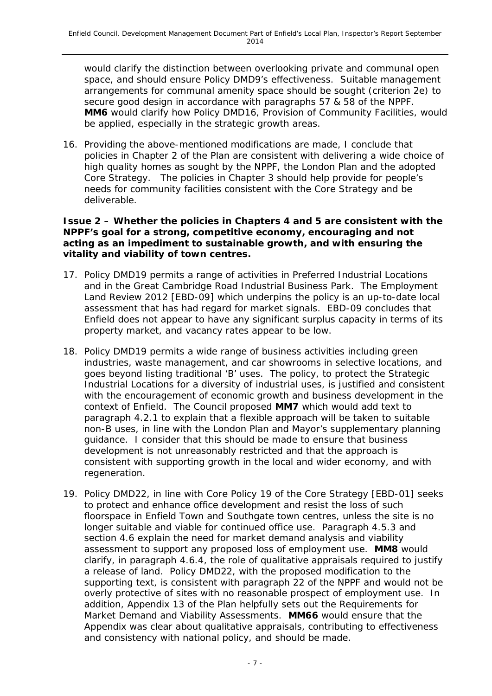would clarify the distinction between overlooking private and communal open space, and should ensure Policy DMD9's effectiveness. Suitable management arrangements for communal amenity space should be sought (criterion 2e) to secure good design in accordance with paragraphs 57 & 58 of the NPPF. **MM6** would clarify how Policy DMD16, Provision of Community Facilities, would be applied, especially in the strategic growth areas.

16. Providing the above-mentioned modifications are made, I conclude that policies in Chapter 2 of the Plan are consistent with delivering a wide choice of high quality homes as sought by the NPPF, the London Plan and the adopted Core Strategy. The policies in Chapter 3 should help provide for people's needs for community facilities consistent with the Core Strategy and be deliverable.

#### **Issue 2 – Whether the policies in Chapters 4 and 5 are consistent with the NPPF's goal for a strong, competitive economy, encouraging and not acting as an impediment to sustainable growth, and with ensuring the vitality and viability of town centres.**

- 17. Policy DMD19 permits a range of activities in Preferred Industrial Locations and in the Great Cambridge Road Industrial Business Park. The Employment Land Review 2012 [EBD-09] which underpins the policy is an up-to-date local assessment that has had regard for market signals. EBD-09 concludes that Enfield does not appear to have any significant surplus capacity in terms of its property market, and vacancy rates appear to be low.
- 18. Policy DMD19 permits a wide range of business activities including green industries, waste management, and car showrooms in selective locations, and goes beyond listing traditional 'B' uses. The policy, to protect the Strategic Industrial Locations for a diversity of industrial uses, is justified and consistent with the encouragement of economic growth and business development in the context of Enfield. The Council proposed **MM7** which would add text to paragraph 4.2.1 to explain that a flexible approach will be taken to suitable non-B uses, in line with the London Plan and Mayor's supplementary planning guidance. I consider that this should be made to ensure that business development is not unreasonably restricted and that the approach is consistent with supporting growth in the local and wider economy, and with regeneration.
- 19. Policy DMD22, in line with Core Policy 19 of the Core Strategy [EBD-01] seeks to protect and enhance office development and resist the loss of such floorspace in Enfield Town and Southgate town centres, unless the site is no longer suitable and viable for continued office use. Paragraph 4.5.3 and section 4.6 explain the need for market demand analysis and viability assessment to support any proposed loss of employment use. **MM8** would clarify, in paragraph 4.6.4, the role of qualitative appraisals required to justify a release of land. Policy DMD22, with the proposed modification to the supporting text, is consistent with paragraph 22 of the NPPF and would not be overly protective of sites with no reasonable prospect of employment use. In addition, Appendix 13 of the Plan helpfully sets out the Requirements for Market Demand and Viability Assessments. **MM66** would ensure that the Appendix was clear about qualitative appraisals, contributing to effectiveness and consistency with national policy, and should be made.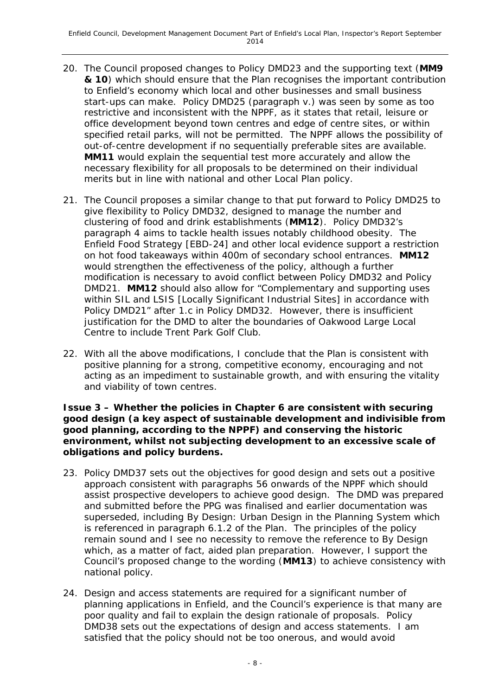- 20. The Council proposed changes to Policy DMD23 and the supporting text (**MM9 & 10**) which should ensure that the Plan recognises the important contribution to Enfield's economy which local and other businesses and small business start-ups can make. Policy DMD25 (paragraph v.) was seen by some as too restrictive and inconsistent with the NPPF, as it states that retail, leisure or office development beyond town centres and edge of centre sites, or within specified retail parks, will not be permitted. The NPPF allows the possibility of out-of-centre development if no sequentially preferable sites are available. **MM11** would explain the sequential test more accurately and allow the necessary flexibility for all proposals to be determined on their individual merits but in line with national and other Local Plan policy.
- 21. The Council proposes a similar change to that put forward to Policy DMD25 to give flexibility to Policy DMD32, designed to manage the number and clustering of food and drink establishments (**MM12**). Policy DMD32's paragraph 4 aims to tackle health issues notably childhood obesity. The Enfield Food Strategy [EBD-24] and other local evidence support a restriction on hot food takeaways within 400m of secondary school entrances. **MM12** would strengthen the effectiveness of the policy, although a further modification is necessary to avoid conflict between Policy DMD32 and Policy DMD21. **MM12** should also allow for "*Complementary and supporting uses within SIL and LSIS [Locally Significant Industrial Sites] in accordance with Policy DMD21*" after 1.c in Policy DMD32. However, there is insufficient justification for the DMD to alter the boundaries of Oakwood Large Local Centre to include Trent Park Golf Club.
- 22. With all the above modifications, I conclude that the Plan is consistent with positive planning for a strong, competitive economy, encouraging and not acting as an impediment to sustainable growth, and with ensuring the vitality and viability of town centres.

**Issue 3 – Whether the policies in Chapter 6 are consistent with securing good design (a key aspect of sustainable development and indivisible from good planning, according to the NPPF) and conserving the historic environment, whilst not subjecting development to an excessive scale of obligations and policy burdens.**

- 23. Policy DMD37 sets out the objectives for good design and sets out a positive approach consistent with paragraphs 56 onwards of the NPPF which should assist prospective developers to achieve good design. The DMD was prepared and submitted before the PPG was finalised and earlier documentation was superseded, including By Design: Urban Design in the Planning System which is referenced in paragraph 6.1.2 of the Plan. The principles of the policy remain sound and I see no necessity to remove the reference to By Design which, as a matter of fact, aided plan preparation. However, I support the Council's proposed change to the wording (**MM13**) to achieve consistency with national policy.
- 24. Design and access statements are required for a significant number of planning applications in Enfield, and the Council's experience is that many are poor quality and fail to explain the design rationale of proposals. Policy DMD38 sets out the expectations of design and access statements. I am satisfied that the policy should not be too onerous, and would avoid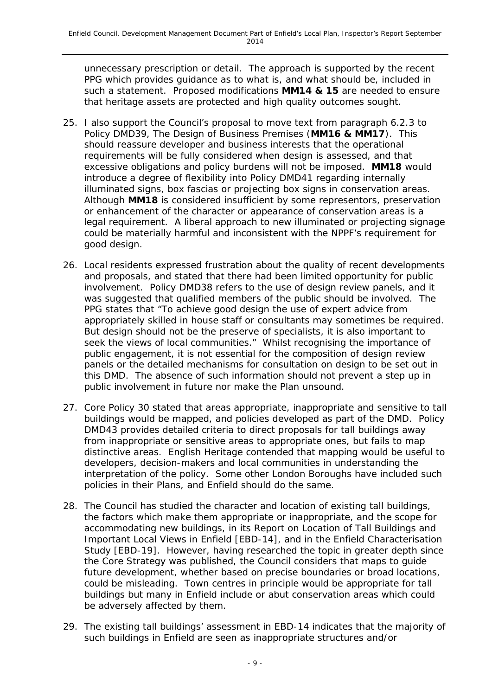unnecessary prescription or detail. The approach is supported by the recent PPG which provides guidance as to what is, and what should be, included in such a statement. Proposed modifications **MM14 & 15** are needed to ensure that heritage assets are protected and high quality outcomes sought.

- 25. I also support the Council's proposal to move text from paragraph 6.2.3 to Policy DMD39, The Design of Business Premises (**MM16 & MM17**). This should reassure developer and business interests that the operational requirements will be fully considered when design is assessed, and that excessive obligations and policy burdens will not be imposed. **MM18** would introduce a degree of flexibility into Policy DMD41 regarding internally illuminated signs, box fascias or projecting box signs in conservation areas. Although **MM18** is considered insufficient by some representors, preservation or enhancement of the character or appearance of conservation areas is a legal requirement. A liberal approach to new illuminated or projecting signage could be materially harmful and inconsistent with the NPPF's requirement for good design.
- 26. Local residents expressed frustration about the quality of recent developments and proposals, and stated that there had been limited opportunity for public involvement. Policy DMD38 refers to the use of design review panels, and it was suggested that qualified members of the public should be involved. The PPG states that *"To achieve good design the use of expert advice from appropriately skilled in house staff or consultants may sometimes be required. But design should not be the preserve of specialists, it is also important to seek the views of local communities."* Whilst recognising the importance of public engagement, it is not essential for the composition of design review panels or the detailed mechanisms for consultation on design to be set out in this DMD. The absence of such information should not prevent a step up in public involvement in future nor make the Plan unsound.
- 27. Core Policy 30 stated that areas appropriate, inappropriate and sensitive to tall buildings would be mapped, and policies developed as part of the DMD. Policy DMD43 provides detailed criteria to direct proposals for tall buildings away from inappropriate or sensitive areas to appropriate ones, but fails to map distinctive areas. English Heritage contended that mapping would be useful to developers, decision-makers and local communities in understanding the interpretation of the policy. Some other London Boroughs have included such policies in their Plans, and Enfield should do the same.
- 28. The Council has studied the character and location of existing tall buildings, the factors which make them appropriate or inappropriate, and the scope for accommodating new buildings, in its Report on Location of Tall Buildings and Important Local Views in Enfield [EBD-14], and in the Enfield Characterisation Study [EBD-19]. However, having researched the topic in greater depth since the Core Strategy was published, the Council considers that maps to guide future development, whether based on precise boundaries or broad locations, could be misleading. Town centres in principle would be appropriate for tall buildings but many in Enfield include or abut conservation areas which could be adversely affected by them.
- 29. The existing tall buildings' assessment in EBD-14 indicates that the majority of such buildings in Enfield are seen as inappropriate structures and/or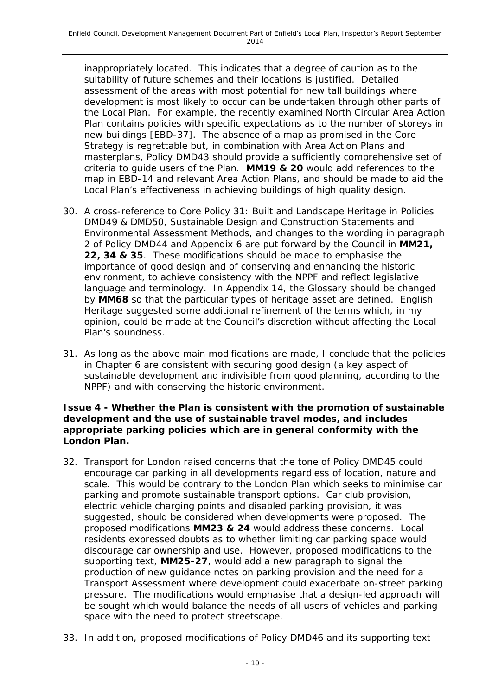inappropriately located. This indicates that a degree of caution as to the suitability of future schemes and their locations is justified. Detailed assessment of the areas with most potential for new tall buildings where development is most likely to occur can be undertaken through other parts of the Local Plan. For example, the recently examined North Circular Area Action Plan contains policies with specific expectations as to the number of storeys in new buildings [EBD-37]. The absence of a map as promised in the Core Strategy is regrettable but, in combination with Area Action Plans and masterplans, Policy DMD43 should provide a sufficiently comprehensive set of criteria to guide users of the Plan. **MM19 & 20** would add references to the map in EBD-14 and relevant Area Action Plans, and should be made to aid the Local Plan's effectiveness in achieving buildings of high quality design.

- 30. A cross-reference to Core Policy 31: Built and Landscape Heritage in Policies DMD49 & DMD50, Sustainable Design and Construction Statements and Environmental Assessment Methods, and changes to the wording in paragraph 2 of Policy DMD44 and Appendix 6 are put forward by the Council in **MM21, 22, 34 & 35**. These modifications should be made to emphasise the importance of good design and of conserving and enhancing the historic environment, to achieve consistency with the NPPF and reflect legislative language and terminology. In Appendix 14, the Glossary should be changed by **MM68** so that the particular types of heritage asset are defined. English Heritage suggested some additional refinement of the terms which, in my opinion, could be made at the Council's discretion without affecting the Local Plan's soundness.
- 31. As long as the above main modifications are made, I conclude that the policies in Chapter 6 are consistent with securing good design (a key aspect of sustainable development and indivisible from good planning, according to the NPPF) and with conserving the historic environment.

#### **Issue 4 - Whether the Plan is consistent with the promotion of sustainable development and the use of sustainable travel modes, and includes appropriate parking policies which are in general conformity with the London Plan.**

- 32. Transport for London raised concerns that the tone of Policy DMD45 could encourage car parking in all developments regardless of location, nature and scale. This would be contrary to the London Plan which seeks to minimise car parking and promote sustainable transport options. Car club provision, electric vehicle charging points and disabled parking provision, it was suggested, should be considered when developments were proposed. The proposed modifications **MM23 & 24** would address these concerns. Local residents expressed doubts as to whether limiting car parking space would discourage car ownership and use. However, proposed modifications to the supporting text, **MM25-27**, would add a new paragraph to signal the production of new guidance notes on parking provision and the need for a Transport Assessment where development could exacerbate on-street parking pressure. The modifications would emphasise that a design-led approach will be sought which would balance the needs of all users of vehicles and parking space with the need to protect streetscape.
- 33. In addition, proposed modifications of Policy DMD46 and its supporting text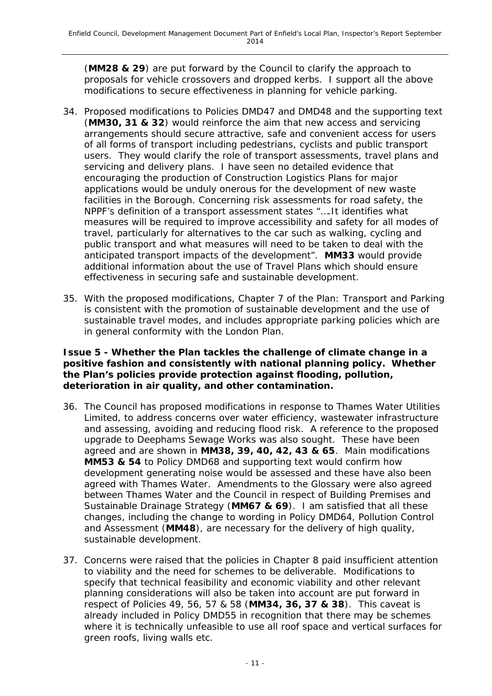(**MM28 & 29**) are put forward by the Council to clarify the approach to proposals for vehicle crossovers and dropped kerbs. I support all the above modifications to secure effectiveness in planning for vehicle parking.

- 34. Proposed modifications to Policies DMD47 and DMD48 and the supporting text (**MM30, 31 & 32**) would reinforce the aim that new access and servicing arrangements should secure attractive, safe and convenient access for users of all forms of transport including pedestrians, cyclists and public transport users. They would clarify the role of transport assessments, travel plans and servicing and delivery plans. I have seen no detailed evidence that encouraging the production of Construction Logistics Plans for major applications would be unduly onerous for the development of new waste facilities in the Borough. Concerning risk assessments for road safety, the NPPF's definition of a transport assessment states "*….It identifies what measures will be required to improve accessibility and safety for all modes of travel, particularly for alternatives to the car such as walking, cycling and public transport and what measures will need to be taken to deal with the anticipated transport impacts of the development"*. **MM33** would provide additional information about the use of Travel Plans which should ensure effectiveness in securing safe and sustainable development.
- 35. With the proposed modifications, Chapter 7 of the Plan: Transport and Parking is consistent with the promotion of sustainable development and the use of sustainable travel modes, and includes appropriate parking policies which are in general conformity with the London Plan.

#### **Issue 5 - Whether the Plan tackles the challenge of climate change in a positive fashion and consistently with national planning policy. Whether the Plan's policies provide protection against flooding, pollution, deterioration in air quality, and other contamination.**

- 36. The Council has proposed modifications in response to Thames Water Utilities Limited, to address concerns over water efficiency, wastewater infrastructure and assessing, avoiding and reducing flood risk. A reference to the proposed upgrade to Deephams Sewage Works was also sought. These have been agreed and are shown in **MM38, 39, 40, 42, 43 & 65**. Main modifications **MM53 & 54** to Policy DMD68 and supporting text would confirm how development generating noise would be assessed and these have also been agreed with Thames Water. Amendments to the Glossary were also agreed between Thames Water and the Council in respect of Building Premises and Sustainable Drainage Strategy (**MM67 & 69**). I am satisfied that all these changes, including the change to wording in Policy DMD64, Pollution Control and Assessment (**MM48**), are necessary for the delivery of high quality, sustainable development.
- 37. Concerns were raised that the policies in Chapter 8 paid insufficient attention to viability and the need for schemes to be deliverable. Modifications to specify that technical feasibility and economic viability and other relevant planning considerations will also be taken into account are put forward in respect of Policies 49, 56, 57 & 58 (**MM34, 36, 37 & 38**). This caveat is already included in Policy DMD55 in recognition that there may be schemes where it is technically unfeasible to use all roof space and vertical surfaces for green roofs, living walls etc.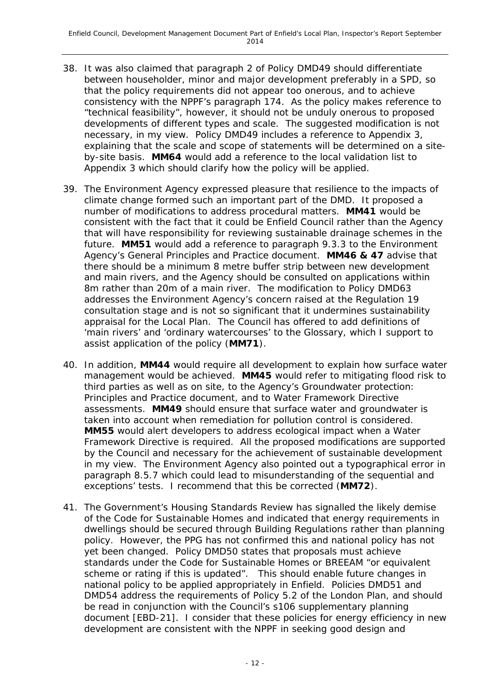- 38. It was also claimed that paragraph 2 of Policy DMD49 should differentiate between householder, minor and major development preferably in a SPD, so that the policy requirements did not appear too onerous, and to achieve consistency with the NPPF's paragraph 174. As the policy makes reference to "technical feasibility", however, it should not be unduly onerous to proposed developments of different types and scale. The suggested modification is not necessary, in my view. Policy DMD49 includes a reference to Appendix 3, explaining that the scale and scope of statements will be determined on a siteby-site basis. **MM64** would add a reference to the local validation list to Appendix 3 which should clarify how the policy will be applied.
- 39. The Environment Agency expressed pleasure that resilience to the impacts of climate change formed such an important part of the DMD. It proposed a number of modifications to address procedural matters. **MM41** would be consistent with the fact that it could be Enfield Council rather than the Agency that will have responsibility for reviewing sustainable drainage schemes in the future. **MM51** would add a reference to paragraph 9.3.3 to the Environment Agency's General Principles and Practice document. **MM46 & 47** advise that there should be a minimum 8 metre buffer strip between new development and main rivers, and the Agency should be consulted on applications within 8m rather than 20m of a main river. The modification to Policy DMD63 addresses the Environment Agency's concern raised at the Regulation 19 consultation stage and is not so significant that it undermines sustainability appraisal for the Local Plan. The Council has offered to add definitions of 'main rivers' and 'ordinary watercourses' to the Glossary, which I support to assist application of the policy (**MM71**).
- 40. In addition, **MM44** would require all development to explain how surface water management would be achieved. **MM45** would refer to mitigating flood risk to third parties as well as on site, to the Agency's Groundwater protection: Principles and Practice document, and to Water Framework Directive assessments. **MM49** should ensure that surface water and groundwater is taken into account when remediation for pollution control is considered. **MM55** would alert developers to address ecological impact when a Water Framework Directive is required. All the proposed modifications are supported by the Council and necessary for the achievement of sustainable development in my view. The Environment Agency also pointed out a typographical error in paragraph 8.5.7 which could lead to misunderstanding of the sequential and exceptions' tests. I recommend that this be corrected (**MM72**).
- 41. The Government's Housing Standards Review has signalled the likely demise of the Code for Sustainable Homes and indicated that energy requirements in dwellings should be secured through Building Regulations rather than planning policy. However, the PPG has not confirmed this and national policy has not yet been changed. Policy DMD50 states that proposals must achieve standards under the Code for Sustainable Homes or BREEAM "or equivalent scheme or rating if this is updated". This should enable future changes in national policy to be applied appropriately in Enfield. Policies DMD51 and DMD54 address the requirements of Policy 5.2 of the London Plan, and should be read in conjunction with the Council's s106 supplementary planning document [EBD-21]. I consider that these policies for energy efficiency in new development are consistent with the NPPF in seeking good design and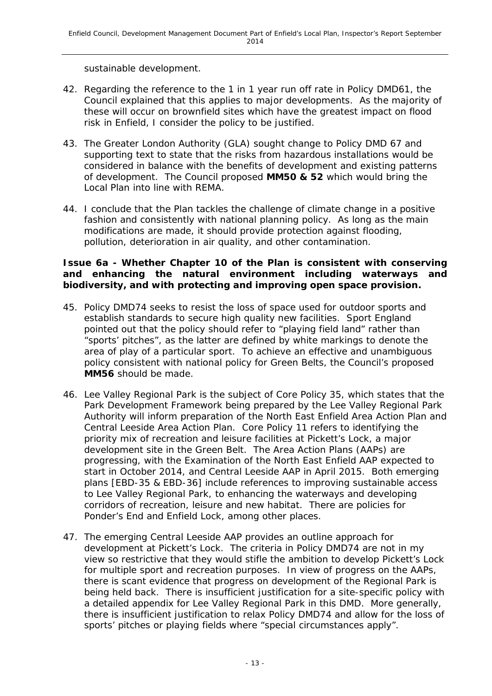sustainable development.

- 42. Regarding the reference to the 1 in 1 year run off rate in Policy DMD61, the Council explained that this applies to major developments. As the majority of these will occur on brownfield sites which have the greatest impact on flood risk in Enfield, I consider the policy to be justified.
- 43. The Greater London Authority (GLA) sought change to Policy DMD 67 and supporting text to state that the risks from hazardous installations would be considered in balance with the benefits of development and existing patterns of development. The Council proposed **MM50 & 52** which would bring the Local Plan into line with REMA.
- 44. I conclude that the Plan tackles the challenge of climate change in a positive fashion and consistently with national planning policy. As long as the main modifications are made, it should provide protection against flooding, pollution, deterioration in air quality, and other contamination.

#### **Issue 6a - Whether Chapter 10 of the Plan is consistent with conserving and enhancing the natural environment including waterways and biodiversity, and with protecting and improving open space provision.**

- 45. Policy DMD74 seeks to resist the loss of space used for outdoor sports and establish standards to secure high quality new facilities. Sport England pointed out that the policy should refer to "playing field land" rather than "sports' pitches", as the latter are defined by white markings to denote the area of play of a particular sport. To achieve an effective and unambiguous policy consistent with national policy for Green Belts, the Council's proposed **MM56** should be made.
- 46. Lee Valley Regional Park is the subject of Core Policy 35, which states that the Park Development Framework being prepared by the Lee Valley Regional Park Authority will inform preparation of the North East Enfield Area Action Plan and Central Leeside Area Action Plan. Core Policy 11 refers to identifying the priority mix of recreation and leisure facilities at Pickett's Lock, a major development site in the Green Belt. The Area Action Plans (AAPs) are progressing, with the Examination of the North East Enfield AAP expected to start in October 2014, and Central Leeside AAP in April 2015. Both emerging plans [EBD-35 & EBD-36] include references to improving sustainable access to Lee Valley Regional Park, to enhancing the waterways and developing corridors of recreation, leisure and new habitat. There are policies for Ponder's End and Enfield Lock, among other places.
- 47. The emerging Central Leeside AAP provides an outline approach for development at Pickett's Lock. The criteria in Policy DMD74 are not in my view so restrictive that they would stifle the ambition to develop Pickett's Lock for multiple sport and recreation purposes. In view of progress on the AAPs, there is scant evidence that progress on development of the Regional Park is being held back. There is insufficient justification for a site-specific policy with a detailed appendix for Lee Valley Regional Park in this DMD. More generally, there is insufficient justification to relax Policy DMD74 and allow for the loss of sports' pitches or playing fields where "special circumstances apply".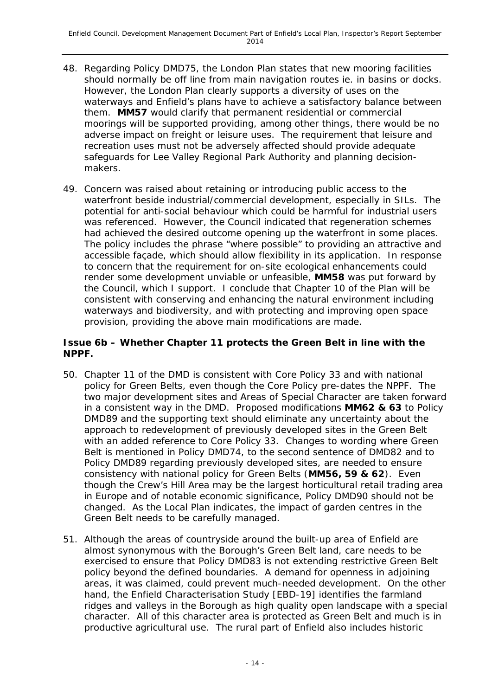- 48. Regarding Policy DMD75, the London Plan states that new mooring facilities should normally be off line from main navigation routes ie. in basins or docks. However, the London Plan clearly supports a diversity of uses on the waterways and Enfield's plans have to achieve a satisfactory balance between them. **MM57** would clarify that permanent residential or commercial moorings will be supported providing, among other things, there would be no adverse impact on freight or leisure uses. The requirement that leisure and recreation uses must not be adversely affected should provide adequate safeguards for Lee Valley Regional Park Authority and planning decisionmakers.
- 49. Concern was raised about retaining or introducing public access to the waterfront beside industrial/commercial development, especially in SILs. The potential for anti-social behaviour which could be harmful for industrial users was referenced. However, the Council indicated that regeneration schemes had achieved the desired outcome opening up the waterfront in some places. The policy includes the phrase "where possible" to providing an attractive and accessible façade, which should allow flexibility in its application. In response to concern that the requirement for on-site ecological enhancements could render some development unviable or unfeasible, **MM58** was put forward by the Council, which I support. I conclude that Chapter 10 of the Plan will be consistent with conserving and enhancing the natural environment including waterways and biodiversity, and with protecting and improving open space provision, providing the above main modifications are made.

#### **Issue 6b – Whether Chapter 11 protects the Green Belt in line with the NPPF.**

- 50. Chapter 11 of the DMD is consistent with Core Policy 33 and with national policy for Green Belts, even though the Core Policy pre-dates the NPPF. The two major development sites and Areas of Special Character are taken forward in a consistent way in the DMD. Proposed modifications **MM62 & 63** to Policy DMD89 and the supporting text should eliminate any uncertainty about the approach to redevelopment of previously developed sites in the Green Belt with an added reference to Core Policy 33. Changes to wording where Green Belt is mentioned in Policy DMD74, to the second sentence of DMD82 and to Policy DMD89 regarding previously developed sites, are needed to ensure consistency with national policy for Green Belts (**MM56, 59 & 62**). Even though the Crew's Hill Area may be the largest horticultural retail trading area in Europe and of notable economic significance, Policy DMD90 should not be changed. As the Local Plan indicates, the impact of garden centres in the Green Belt needs to be carefully managed.
- 51. Although the areas of countryside around the built-up area of Enfield are almost synonymous with the Borough's Green Belt land, care needs to be exercised to ensure that Policy DMD83 is not extending restrictive Green Belt policy beyond the defined boundaries. A demand for openness in adjoining areas, it was claimed, could prevent much-needed development. On the other hand, the Enfield Characterisation Study [EBD-19] identifies the farmland ridges and valleys in the Borough as high quality open landscape with a special character. All of this character area is protected as Green Belt and much is in productive agricultural use. The rural part of Enfield also includes historic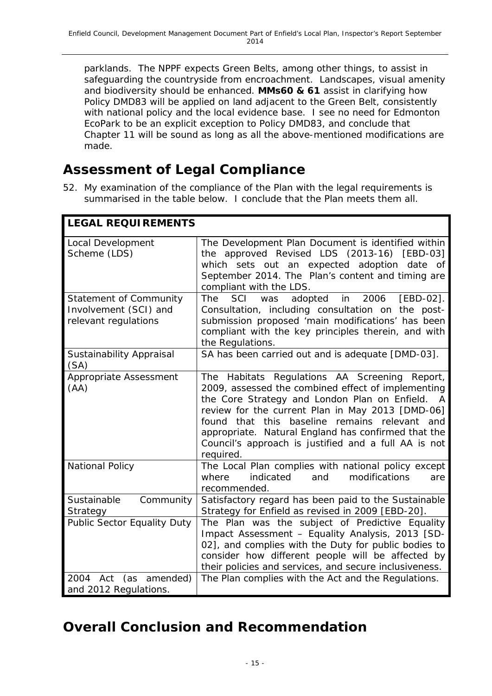parklands. The NPPF expects Green Belts, among other things, to assist in safeguarding the countryside from encroachment. Landscapes, visual amenity and biodiversity should be enhanced. **MMs60 & 61** assist in clarifying how Policy DMD83 will be applied on land adjacent to the Green Belt, consistently with national policy and the local evidence base. I see no need for Edmonton EcoPark to be an explicit exception to Policy DMD83, and conclude that Chapter 11 will be sound as long as all the above-mentioned modifications are made.

### **Assessment of Legal Compliance**

52. My examination of the compliance of the Plan with the legal requirements is summarised in the table below. I conclude that the Plan meets them all.

| <b>LEGAL REQUIREMENTS</b>                                                      |                                                                                                                                                                                                                                                                                                                                                                                                        |  |  |
|--------------------------------------------------------------------------------|--------------------------------------------------------------------------------------------------------------------------------------------------------------------------------------------------------------------------------------------------------------------------------------------------------------------------------------------------------------------------------------------------------|--|--|
| Local Development<br>Scheme (LDS)                                              | The Development Plan Document is identified within<br>the approved Revised LDS (2013-16)<br>[EBD-03]<br>which sets out an expected adoption date of<br>September 2014. The Plan's content and timing are<br>compliant with the LDS.                                                                                                                                                                    |  |  |
| <b>Statement of Community</b><br>Involvement (SCI) and<br>relevant regulations | SCI<br>2006<br>$[EBD-02]$ .<br><b>The</b><br>adopted<br>in<br>was<br>Consultation, including consultation on the post-<br>submission proposed 'main modifications' has been<br>compliant with the key principles therein, and with<br>the Regulations.                                                                                                                                                 |  |  |
| Sustainability Appraisal<br>(SA)                                               | SA has been carried out and is adequate [DMD-03].                                                                                                                                                                                                                                                                                                                                                      |  |  |
| Appropriate Assessment<br>(AA)                                                 | The Habitats Regulations AA Screening Report,<br>2009, assessed the combined effect of implementing<br>the Core Strategy and London Plan on Enfield.<br>A<br>review for the current Plan in May 2013 [DMD-06]<br>that this<br>baseline<br>remains relevant<br>found<br>and<br>appropriate. Natural England has confirmed that the<br>Council's approach is justified and a full AA is not<br>required. |  |  |
| <b>National Policy</b>                                                         | The Local Plan complies with national policy except<br>modifications<br>indicated<br>and<br>where<br>are<br>recommended.                                                                                                                                                                                                                                                                               |  |  |
| Sustainable<br>Community<br>Strategy                                           | Satisfactory regard has been paid to the Sustainable<br>Strategy for Enfield as revised in 2009 [EBD-20].                                                                                                                                                                                                                                                                                              |  |  |
| Public Sector Equality Duty                                                    | The Plan was the subject of Predictive Equality<br>Impact Assessment - Equality Analysis, 2013 [SD-<br>02], and complies with the Duty for public bodies to<br>consider how different people will be affected by<br>their policies and services, and secure inclusiveness.                                                                                                                             |  |  |
| (as amended)<br>2004 Act<br>and 2012 Regulations.                              | The Plan complies with the Act and the Regulations.                                                                                                                                                                                                                                                                                                                                                    |  |  |

## **Overall Conclusion and Recommendation**